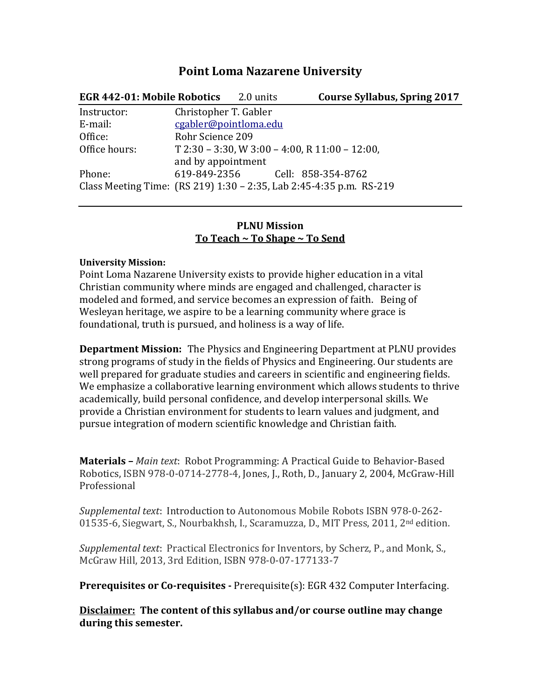## **Point Loma Nazarene University**

| <b>EGR 442-01: Mobile Robotics</b> 2.0 units |                       | <b>Course Syllabus, Spring 2017</b>                                 |  |
|----------------------------------------------|-----------------------|---------------------------------------------------------------------|--|
| Instructor:                                  | Christopher T. Gabler |                                                                     |  |
| E-mail:                                      | cgabler@pointloma.edu |                                                                     |  |
| Office:                                      | Rohr Science 209      |                                                                     |  |
| Office hours:                                |                       | $T$ 2:30 – 3:30, W 3:00 – 4:00, R 11:00 – 12:00,                    |  |
|                                              | and by appointment    |                                                                     |  |
| Phone:                                       |                       | 619-849-2356 Cell: 858-354-8762                                     |  |
|                                              |                       | Class Meeting Time: (RS 219) 1:30 - 2:35, Lab 2:45-4:35 p.m. RS-219 |  |

#### **PLNU Mission To Teach ~ To Shape ~ To Send**

#### **University Mission:**

Point Loma Nazarene University exists to provide higher education in a vital Christian community where minds are engaged and challenged, character is modeled and formed, and service becomes an expression of faith. Being of Wesleyan heritage, we aspire to be a learning community where grace is foundational, truth is pursued, and holiness is a way of life.

**Department Mission:** The Physics and Engineering Department at PLNU provides strong programs of study in the fields of Physics and Engineering. Our students are well prepared for graduate studies and careers in scientific and engineering fields. We emphasize a collaborative learning environment which allows students to thrive academically, build personal confidence, and develop interpersonal skills. We provide a Christian environment for students to learn values and judgment, and pursue integration of modern scientific knowledge and Christian faith.

**Materials –** *Main text*: Robot Programming: A Practical Guide to Behavior-Based Robotics, ISBN 978-0-0714-2778-4, Jones, J., Roth, D., January 2, 2004, McGraw-Hill Professional

*Supplemental text*: Introduction to Autonomous Mobile Robots ISBN 978-0-262- 01535-6, Siegwart, S., Nourbakhsh, I., Scaramuzza, D., MIT Press, 2011, 2nd edition.

*Supplemental text*: Practical Electronics for Inventors, by Scherz, P., and Monk, S., McGraw Hill, 2013, 3rd Edition, ISBN 978-0-07-177133-7

**Prerequisites or Co-requisites -** Prerequisite(s): EGR 432 Computer Interfacing.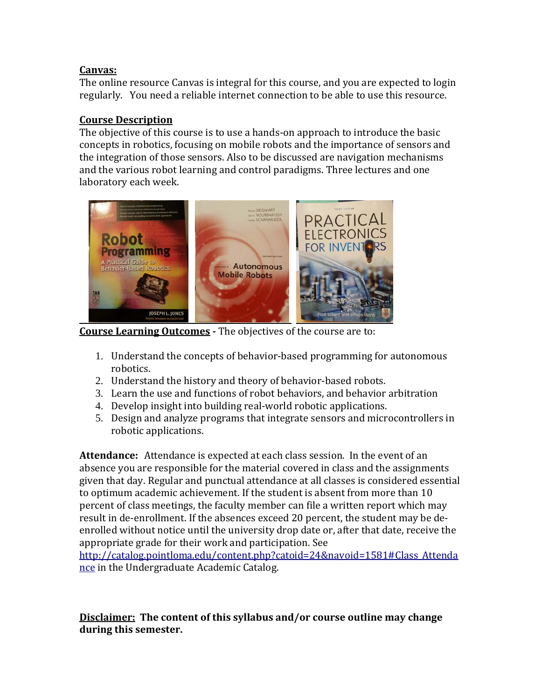### **Canvas:**

The online resource Canvas is integral for this course, and you are expected to login regularly. You need a reliable internet connection to be able to use this resource.

## **Course Description**

The objective of this course is to use a hands-on approach to introduce the basic concepts in robotics, focusing on mobile robots and the importance of sensors and the integration of those sensors. Also to be discussed are navigation mechanisms and the various robot learning and control paradigms. Three lectures and one laboratory each week.



**Course Learning Outcomes -** The objectives of the course are to:

- 1. Understand the concepts of behavior-based programming for autonomous robotics.
- 2. Understand the history and theory of behavior-based robots.
- 3. Learn the use and functions of robot behaviors, and behavior arbitration
- 4. Develop insight into building real-world robotic applications.
- 5. Design and analyze programs that integrate sensors and microcontrollers in robotic applications.

**Attendance:** Attendance is expected at each class session. In the event of an absence you are responsible for the material covered in class and the assignments given that day. Regular and punctual attendance at all classes is considered essential to optimum academic achievement. If the student is absent from more than 10 percent of class meetings, the faculty member can file a written report which may result in de-enrollment. If the absences exceed 20 percent, the student may be deenrolled without notice until the university drop date or, after that date, receive the appropriate grade for their work and participation. See

[http://catalog.pointloma.edu/content.php?catoid=24&navoid=1581#Class\\_Attenda](http://catalog.pointloma.edu/content.php?catoid=24&navoid=1581#Class_Attendance) [nce](http://catalog.pointloma.edu/content.php?catoid=24&navoid=1581#Class_Attendance) in the Undergraduate Academic Catalog.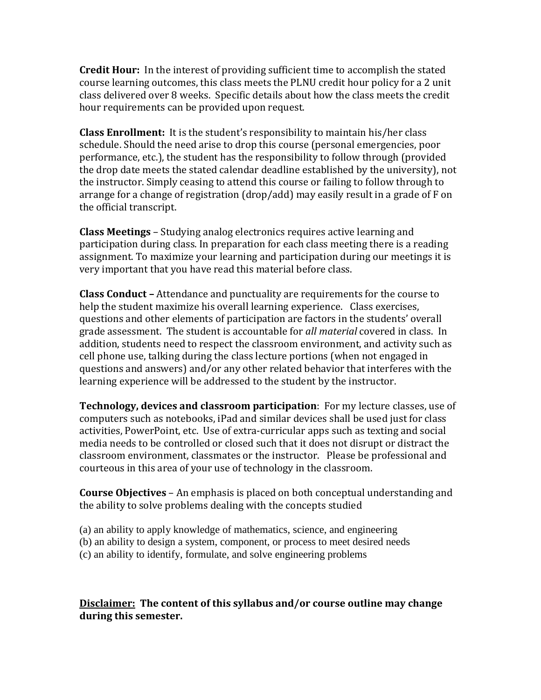**Credit Hour:** In the interest of providing sufficient time to accomplish the stated course learning outcomes, this class meets the PLNU credit hour policy for a 2 unit class delivered over 8 weeks. Specific details about how the class meets the credit hour requirements can be provided upon request.

**Class Enrollment:** It is the student's responsibility to maintain his/her class schedule. Should the need arise to drop this course (personal emergencies, poor performance, etc.), the student has the responsibility to follow through (provided the drop date meets the stated calendar deadline established by the university), not the instructor. Simply ceasing to attend this course or failing to follow through to arrange for a change of registration (drop/add) may easily result in a grade of F on the official transcript.

**Class Meetings** – Studying analog electronics requires active learning and participation during class. In preparation for each class meeting there is a reading assignment. To maximize your learning and participation during our meetings it is very important that you have read this material before class.

**Class Conduct –** Attendance and punctuality are requirements for the course to help the student maximize his overall learning experience. Class exercises, questions and other elements of participation are factors in the students' overall grade assessment. The student is accountable for *all material* covered in class. In addition, students need to respect the classroom environment, and activity such as cell phone use, talking during the class lecture portions (when not engaged in questions and answers) and/or any other related behavior that interferes with the learning experience will be addressed to the student by the instructor.

**Technology, devices and classroom participation**: For my lecture classes, use of computers such as notebooks, iPad and similar devices shall be used just for class activities, PowerPoint, etc. Use of extra-curricular apps such as texting and social media needs to be controlled or closed such that it does not disrupt or distract the classroom environment, classmates or the instructor. Please be professional and courteous in this area of your use of technology in the classroom.

**Course Objectives** – An emphasis is placed on both conceptual understanding and the ability to solve problems dealing with the concepts studied

(a) an ability to apply knowledge of mathematics, science, and engineering (b) an ability to design a system, component, or process to meet desired needs (c) an ability to identify, formulate, and solve engineering problems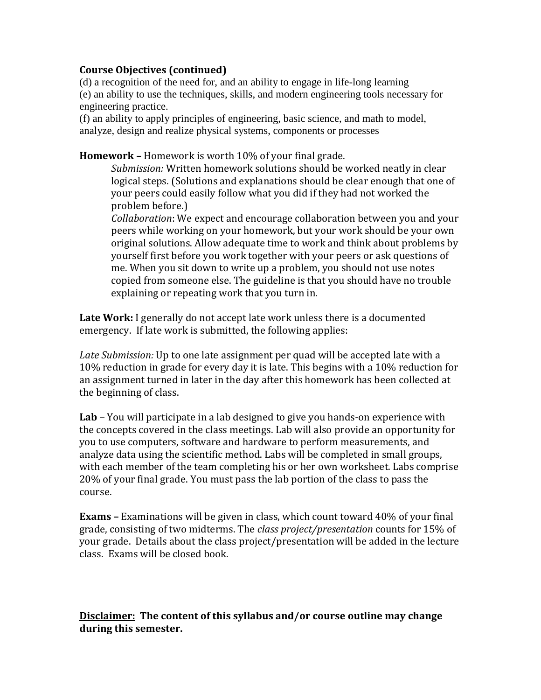#### **Course Objectives (continued)**

(d) a recognition of the need for, and an ability to engage in life-long learning (e) an ability to use the techniques, skills, and modern engineering tools necessary for engineering practice.

(f) an ability to apply principles of engineering, basic science, and math to model, analyze, design and realize physical systems, components or processes

**Homework –** Homework is worth 10% of your final grade.

*Submission:* Written homework solutions should be worked neatly in clear logical steps. (Solutions and explanations should be clear enough that one of your peers could easily follow what you did if they had not worked the problem before.)

*Collaboration*: We expect and encourage collaboration between you and your peers while working on your homework, but your work should be your own original solutions. Allow adequate time to work and think about problems by yourself first before you work together with your peers or ask questions of me. When you sit down to write up a problem, you should not use notes copied from someone else. The guideline is that you should have no trouble explaining or repeating work that you turn in.

**Late Work:** I generally do not accept late work unless there is a documented emergency. If late work is submitted, the following applies:

*Late Submission:* Up to one late assignment per quad will be accepted late with a 10% reduction in grade for every day it is late. This begins with a 10% reduction for an assignment turned in later in the day after this homework has been collected at the beginning of class.

**Lab** *–* You will participate in a lab designed to give you hands-on experience with the concepts covered in the class meetings. Lab will also provide an opportunity for you to use computers, software and hardware to perform measurements, and analyze data using the scientific method. Labs will be completed in small groups, with each member of the team completing his or her own worksheet. Labs comprise 20% of your final grade. You must pass the lab portion of the class to pass the course.

**Exams –** Examinations will be given in class, which count toward 40% of your final grade, consisting of two midterms. The *class project/presentation* counts for 15% of your grade. Details about the class project/presentation will be added in the lecture class. Exams will be closed book.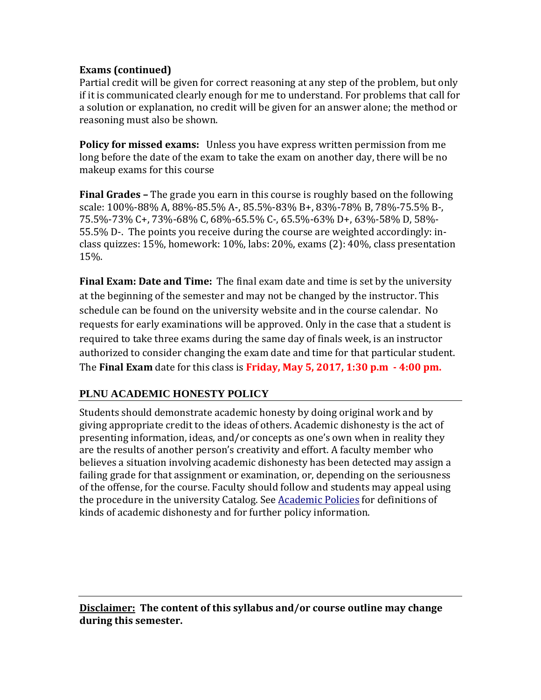## **Exams (continued)**

Partial credit will be given for correct reasoning at any step of the problem, but only if it is communicated clearly enough for me to understand. For problems that call for a solution or explanation, no credit will be given for an answer alone; the method or reasoning must also be shown.

**Policy for missed exams:** Unless you have express written permission from me long before the date of the exam to take the exam on another day, there will be no makeup exams for this course

**Final Grades –** The grade you earn in this course is roughly based on the following scale: 100%-88% A, 88%-85.5% A-, 85.5%-83% B+, 83%-78% B, 78%-75.5% B-, 75.5%-73% C+, 73%-68% C, 68%-65.5% C-, 65.5%-63% D+, 63%-58% D, 58%- 55.5% D-. The points you receive during the course are weighted accordingly: inclass quizzes: 15%, homework: 10%, labs: 20%, exams (2): 40%, class presentation 15%.

**Final Exam: Date and Time:** The final exam date and time is set by the university at the beginning of the semester and may not be changed by the instructor. This schedule can be found on the university website and in the course calendar. No requests for early examinations will be approved. Only in the case that a student is required to take three exams during the same day of finals week, is an instructor authorized to consider changing the exam date and time for that particular student. The **Final Exam** date for this class is **Friday, May 5, 2017, 1:30 p.m - 4:00 pm.**

## **PLNU ACADEMIC HONESTY POLICY**

Students should demonstrate academic honesty by doing original work and by giving appropriate credit to the ideas of others. Academic dishonesty is the act of presenting information, ideas, and/or concepts as one's own when in reality they are the results of another person's creativity and effort. A faculty member who believes a situation involving academic dishonesty has been detected may assign a failing grade for that assignment or examination, or, depending on the seriousness of the offense, for the course. Faculty should follow and students may appeal using the procedure in the university Catalog. See [Academic Policies](http://catalog.pointloma.edu/content.php?catoid=18&navoid=1278) for definitions of kinds of academic dishonesty and for further policy information.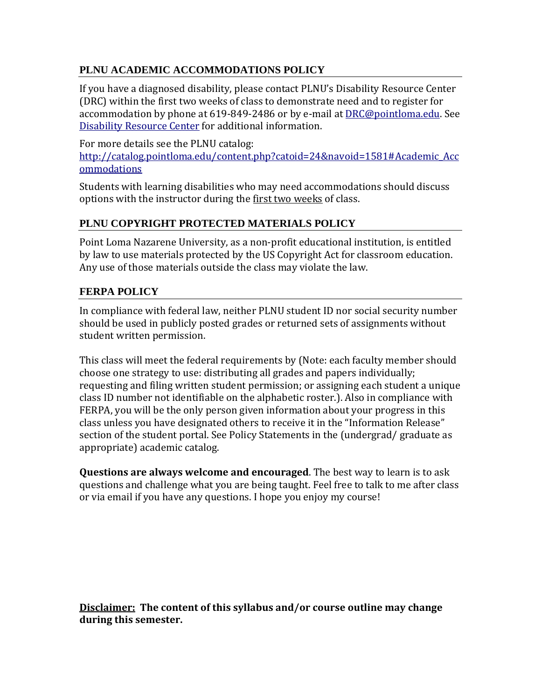# **PLNU ACADEMIC ACCOMMODATIONS POLICY**

If you have a diagnosed disability, please contact PLNU's Disability Resource Center (DRC) within the first two weeks of class to demonstrate need and to register for accommodation by phone at 619-849-2486 or by e-mail at [DRC@pointloma.edu.](mailto:DRC@pointloma.edu) See [Disability Resource Center](http://www.pointloma.edu/experience/offices/administrative-offices/academic-advising-office/disability-resource-center) for additional information.

For more details see the PLNU catalog: [http://catalog.pointloma.edu/content.php?catoid=24&navoid=1581#Academic\\_Acc](http://catalog.pointloma.edu/content.php?catoid=24&navoid=1581#Academic_Accommodations) [ommodations](http://catalog.pointloma.edu/content.php?catoid=24&navoid=1581#Academic_Accommodations)

Students with learning disabilities who may need accommodations should discuss options with the instructor during the first two weeks of class.

## **PLNU COPYRIGHT PROTECTED MATERIALS POLICY**

Point Loma Nazarene University, as a non-profit educational institution, is entitled by law to use materials protected by the US Copyright Act for classroom education. Any use of those materials outside the class may violate the law.

## **FERPA POLICY**

In compliance with federal law, neither PLNU student ID nor social security number should be used in publicly posted grades or returned sets of assignments without student written permission.

This class will meet the federal requirements by (Note: each faculty member should choose one strategy to use: distributing all grades and papers individually; requesting and filing written student permission; or assigning each student a unique class ID number not identifiable on the alphabetic roster.). Also in compliance with FERPA, you will be the only person given information about your progress in this class unless you have designated others to receive it in the "Information Release" section of the student portal. See Policy Statements in the (undergrad/ graduate as appropriate) academic catalog.

**Questions are always welcome and encouraged**. The best way to learn is to ask questions and challenge what you are being taught. Feel free to talk to me after class or via email if you have any questions. I hope you enjoy my course!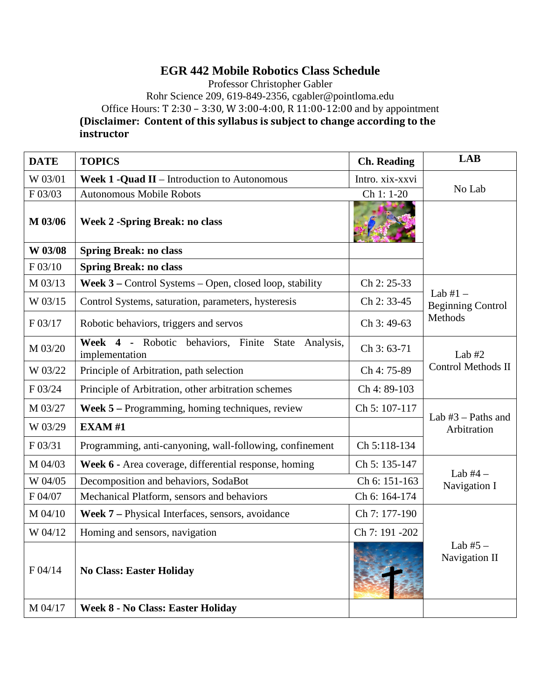# **EGR 442 Mobile Robotics Class Schedule**

Professor Christopher Gabler

Rohr Science 209, 619-849-2356, cgabler@pointloma.edu

Office Hours: T 2:30 - 3:30, W 3:00-4:00, R 11:00-12:00 and by appointment

**(Disclaimer: Content of this syllabus is subject to change according to the instructor**

| <b>DATE</b> | <b>TOPICS</b>                                                              | <b>Ch. Reading</b> | <b>LAB</b>                                        |  |
|-------------|----------------------------------------------------------------------------|--------------------|---------------------------------------------------|--|
| W 03/01     | <b>Week 1 -Quad II</b> – Introduction to Autonomous                        | Intro. xix-xxvi    |                                                   |  |
| F 03/03     | <b>Autonomous Mobile Robots</b>                                            | Ch 1: 1-20         | No Lab                                            |  |
| M 03/06     | <b>Week 2 -Spring Break: no class</b>                                      |                    |                                                   |  |
| W 03/08     | <b>Spring Break: no class</b>                                              |                    |                                                   |  |
| F 03/10     | <b>Spring Break: no class</b>                                              |                    |                                                   |  |
| M 03/13     | Week 3 – Control Systems – Open, closed loop, stability                    | Ch 2: 25-33        |                                                   |  |
| W 03/15     | Control Systems, saturation, parameters, hysteresis                        | Ch 2: 33-45        | Lab $#1 -$<br><b>Beginning Control</b><br>Methods |  |
| F 03/17     | Robotic behaviors, triggers and servos                                     | Ch 3:49-63         |                                                   |  |
| M 03/20     | Week 4 - Robotic<br>behaviors, Finite State<br>Analysis,<br>implementation | Ch 3: 63-71        | Lab $#2$                                          |  |
| W 03/22     | Principle of Arbitration, path selection                                   | Ch 4: 75-89        | <b>Control Methods II</b>                         |  |
| F 03/24     | Principle of Arbitration, other arbitration schemes                        | Ch 4: 89-103       |                                                   |  |
| M 03/27     | Week 5 - Programming, homing techniques, review                            | Ch 5: 107-117      | Lab $#3$ – Paths and                              |  |
| W 03/29     | <b>EXAM#1</b>                                                              |                    | Arbitration                                       |  |
| F 03/31     | Programming, anti-canyoning, wall-following, confinement                   | Ch 5:118-134       |                                                   |  |
| M 04/03     | Week 6 - Area coverage, differential response, homing                      | Ch 5: 135-147      |                                                   |  |
| W 04/05     | Decomposition and behaviors, SodaBot                                       | Ch 6: 151-163      | Lab $#4-$<br>Navigation I                         |  |
| F 04/07     | Mechanical Platform, sensors and behaviors                                 | Ch 6: 164-174      |                                                   |  |
| M 04/10     | Week 7 – Physical Interfaces, sensors, avoidance                           | Ch 7: 177-190      |                                                   |  |
| W 04/12     | Homing and sensors, navigation                                             | Ch 7: 191 -202     |                                                   |  |
| F 04/14     | <b>No Class: Easter Holiday</b>                                            |                    | Lab $#5 -$<br>Navigation II                       |  |
| M 04/17     | <b>Week 8 - No Class: Easter Holiday</b>                                   |                    |                                                   |  |